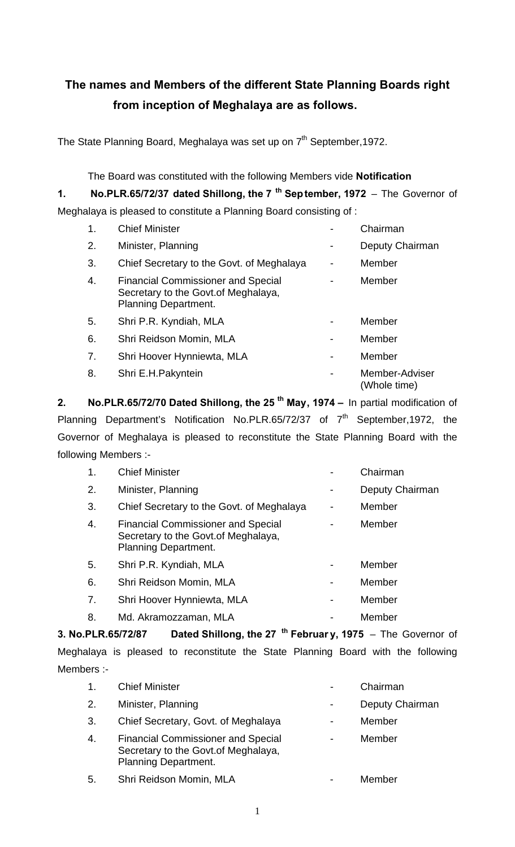# **The names and Members of the different State Planning Boards right from inception of Meghalaya are as follows.**

The State Planning Board, Meghalaya was set up on 7<sup>th</sup> September, 1972.

The Board was constituted with the following Members vide **Notification**

**1. No.PLR.65/72/37 dated Shillong, the 7 th September, 1972** – The Governor of

Meghalaya is pleased to constitute a Planning Board consisting of :

| 1. | <b>Chief Minister</b>                                                                                            |    | Chairman                       |
|----|------------------------------------------------------------------------------------------------------------------|----|--------------------------------|
| 2. | Minister, Planning                                                                                               |    | Deputy Chairman                |
| 3. | Chief Secretary to the Govt. of Meghalaya                                                                        | Ξ. | Member                         |
| 4. | <b>Financial Commissioner and Special</b><br>Secretary to the Govt. of Meghalaya,<br><b>Planning Department.</b> |    | Member                         |
| 5. | Shri P.R. Kyndiah, MLA                                                                                           |    | Member                         |
| 6. | Shri Reidson Momin, MLA                                                                                          |    | Member                         |
| 7. | Shri Hoover Hynniewta, MLA                                                                                       |    | Member                         |
| 8. | Shri E.H.Pakyntein                                                                                               |    | Member-Adviser<br>(Whole time) |

**2. No.PLR.65/72/70 Dated Shillong, the 25 th May, 1974 –** In partial modification of Planning Department's Notification No.PLR.65/72/37 of  $7<sup>th</sup>$  September,1972, the Governor of Meghalaya is pleased to reconstitute the State Planning Board with the following Members :-

| 1. | <b>Chief Minister</b>                                                                                            |                          | Chairman        |
|----|------------------------------------------------------------------------------------------------------------------|--------------------------|-----------------|
| 2. | Minister, Planning                                                                                               |                          | Deputy Chairman |
| 3. | Chief Secretary to the Govt. of Meghalaya                                                                        |                          | Member          |
| 4. | <b>Financial Commissioner and Special</b><br>Secretary to the Govt. of Meghalaya,<br><b>Planning Department.</b> |                          | Member          |
| 5. | Shri P.R. Kyndiah, MLA                                                                                           |                          | Member          |
| 6. | Shri Reidson Momin, MLA                                                                                          |                          | Member          |
| 7. | Shri Hoover Hynniewta, MLA                                                                                       | $\overline{\phantom{0}}$ | Member          |
| 8. | Md. Akramozzaman, MLA                                                                                            |                          | Member          |

**3. No.PLR.65/72/87 Dated Shillong, the 27 th Februar y, 1975** – The Governor of Meghalaya is pleased to reconstitute the State Planning Board with the following Members :-

| $\mathbf{1}$ .   | <b>Chief Minister</b>                                                                                            | Chairman        |
|------------------|------------------------------------------------------------------------------------------------------------------|-----------------|
| 2.               | Minister, Planning                                                                                               | Deputy Chairman |
| 3.               | Chief Secretary, Govt. of Meghalaya                                                                              | Member          |
| $\overline{4}$ . | <b>Financial Commissioner and Special</b><br>Secretary to the Govt. of Meghalaya,<br><b>Planning Department.</b> | Member          |
| 5.               | Shri Reidson Momin, MLA                                                                                          | Member          |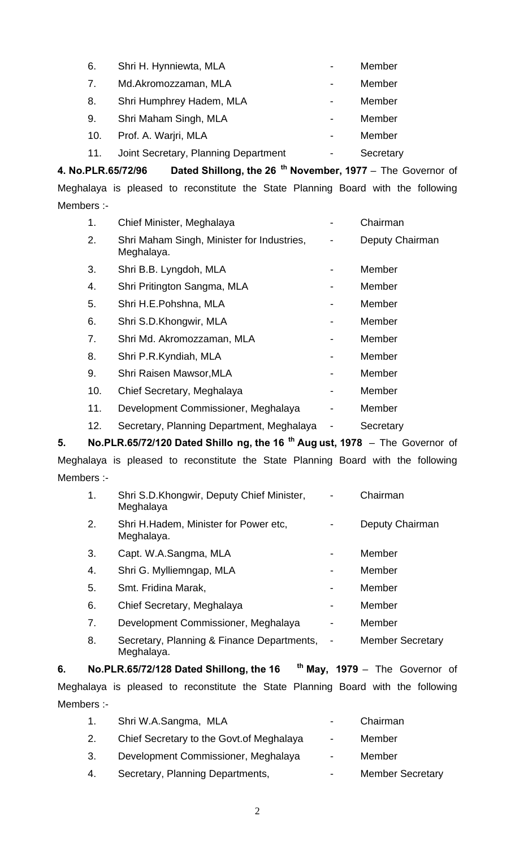| 6.  | Shri H. Hynniewta, MLA               | Member    |
|-----|--------------------------------------|-----------|
| 7.  | Md.Akromozzaman, MLA                 | Member    |
| 8.  | Shri Humphrey Hadem, MLA             | Member    |
| 9.  | Shri Maham Singh, MLA                | Member    |
| 10. | Prof. A. Warjri, MLA                 | Member    |
| 11. | Joint Secretary, Planning Department | Secretary |

**4. No.PLR.65/72/96 Dated Shillong, the 26 th November, 1977** – The Governor of Meghalaya is pleased to reconstitute the State Planning Board with the following Members :-

| 1.  | Chief Minister, Meghalaya                                |   | Chairman        |
|-----|----------------------------------------------------------|---|-----------------|
| 2.  | Shri Maham Singh, Minister for Industries,<br>Meghalaya. | - | Deputy Chairman |
| 3.  | Shri B.B. Lyngdoh, MLA                                   |   | Member          |
| 4.  | Shri Pritington Sangma, MLA                              |   | Member          |
| 5.  | Shri H.E.Pohshna, MLA                                    |   | Member          |
| 6.  | Shri S.D.Khongwir, MLA                                   |   | Member          |
| 7.  | Shri Md. Akromozzaman, MLA                               |   | Member          |
| 8.  | Shri P.R.Kyndiah, MLA                                    |   | Member          |
| 9.  | Shri Raisen Mawsor, MLA                                  |   | Member          |
| 10. | Chief Secretary, Meghalaya                               |   | Member          |
| 11. | Development Commissioner, Meghalaya                      |   | Member          |
| 12. | Secretary, Planning Department, Meghalaya                |   | Secretary       |

**5. No.PLR.65/72/120 Dated Shillo ng, the 16 th Aug ust, 1978** – The Governor of Meghalaya is pleased to reconstitute the State Planning Board with the following Members :-

| 1. | Shri S.D.Khongwir, Deputy Chief Minister,<br>Meghalaya   |                              | Chairman                |
|----|----------------------------------------------------------|------------------------------|-------------------------|
| 2. | Shri H. Hadem, Minister for Power etc.<br>Meghalaya.     |                              | Deputy Chairman         |
| 3. | Capt. W.A.Sangma, MLA                                    |                              | Member                  |
| 4. | Shri G. Mylliemngap, MLA                                 | -                            | Member                  |
| 5. | Smt. Fridina Marak,                                      |                              | Member                  |
| 6. | Chief Secretary, Meghalaya                               |                              | Member                  |
| 7. | Development Commissioner, Meghalaya                      |                              | Member                  |
| 8. | Secretary, Planning & Finance Departments,<br>Meghalaya. | $\qquad \qquad \blacksquare$ | <b>Member Secretary</b> |

**6. No.PLR.65/72/128 Dated Shillong, the 16 th May, 1979** – The Governor of Meghalaya is pleased to reconstitute the State Planning Board with the following Members :-

| 1. | Shri W.A.Sangma, MLA                      | $\sim$ 100 $\mu$         | Chairman                |
|----|-------------------------------------------|--------------------------|-------------------------|
| 2. | Chief Secretary to the Govt. of Meghalaya | $\sim$                   | Member                  |
| 3. | Development Commissioner, Meghalaya       | $\sim$                   | Member                  |
| 4. | Secretary, Planning Departments,          | $\overline{\phantom{a}}$ | <b>Member Secretary</b> |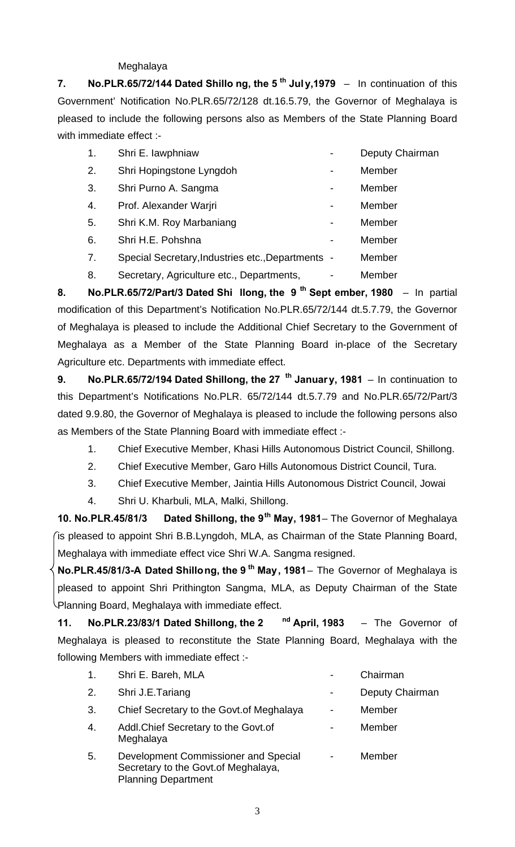#### Meghalaya

**7. No.PLR.65/72/144 Dated Shillo ng, the 5 th Jul y,1979** – In continuation of this Government' Notification No.PLR.65/72/128 dt.16.5.79, the Governor of Meghalaya is pleased to include the following persons also as Members of the State Planning Board with immediate effect :-

| 1. | Shri E. lawphniaw                                 |                          | Deputy Chairman |
|----|---------------------------------------------------|--------------------------|-----------------|
| 2. | Shri Hopingstone Lyngdoh                          |                          | Member          |
| 3. | Shri Purno A. Sangma                              |                          | Member          |
| 4. | Prof. Alexander Warjri                            | $\blacksquare$           | Member          |
| 5. | Shri K.M. Roy Marbaniang                          |                          | Member          |
| 6. | Shri H.E. Pohshna                                 | $\overline{\phantom{a}}$ | Member          |
| 7. | Special Secretary, Industries etc., Departments - |                          | Member          |
| 8. | Secretary, Agriculture etc., Departments,         |                          | Member          |

**8. No.PLR.65/72/Part/3 Dated Shi llong, the 9 th Sept ember, 1980** – In partial modification of this Department's Notification No.PLR.65/72/144 dt.5.7.79, the Governor of Meghalaya is pleased to include the Additional Chief Secretary to the Government of Meghalaya as a Member of the State Planning Board in-place of the Secretary Agriculture etc. Departments with immediate effect.

**9. No.PLR.65/72/194 Dated Shillong, the 27 th January, 1981** – In continuation to this Department's Notifications No.PLR. 65/72/144 dt.5.7.79 and No.PLR.65/72/Part/3 dated 9.9.80, the Governor of Meghalaya is pleased to include the following persons also as Members of the State Planning Board with immediate effect :-

- 1. Chief Executive Member, Khasi Hills Autonomous District Council, Shillong.
- 2. Chief Executive Member, Garo Hills Autonomous District Council, Tura.
- 3. Chief Executive Member, Jaintia Hills Autonomous District Council, Jowai
- 4. Shri U. Kharbuli, MLA, Malki, Shillong.

**10. No.PLR.45/81/3 Dated Shillong, the 9th May, 1981**– The Governor of Meghalaya is pleased to appoint Shri B.B.Lyngdoh, MLA, as Chairman of the State Planning Board, Meghalaya with immediate effect vice Shri W.A. Sangma resigned.

**No.PLR.45/81/3-A Dated Shillong, the 9 th May, 1981**– The Governor of Meghalaya is pleased to appoint Shri Prithington Sangma, MLA, as Deputy Chairman of the State Planning Board, Meghalaya with immediate effect.

**11. No.PLR.23/83/1 Dated Shillong, the 2 nd April, 1983** – The Governor of Meghalaya is pleased to reconstitute the State Planning Board, Meghalaya with the following Members with immediate effect :-

| $\mathbf{1}$ . | Shri E. Bareh, MLA                                                                                         | Chairman        |
|----------------|------------------------------------------------------------------------------------------------------------|-----------------|
| 2.             | Shri J.E.Tariang                                                                                           | Deputy Chairman |
| 3.             | Chief Secretary to the Govt. of Meghalaya                                                                  | Member          |
| 4.             | Addl. Chief Secretary to the Govt. of<br>Meghalaya                                                         | Member          |
| 5.             | Development Commissioner and Special<br>Secretary to the Govt. of Meghalaya,<br><b>Planning Department</b> | Member          |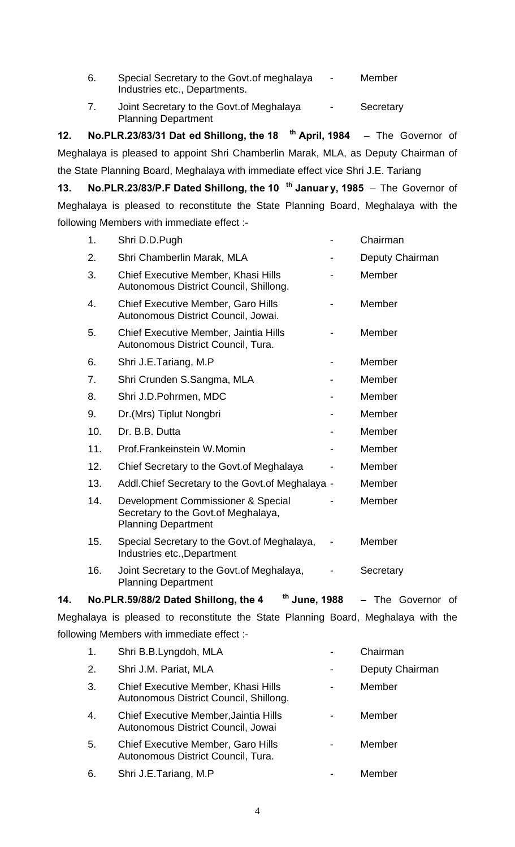- 6. Special Secretary to the Govt.of meghalaya Member Industries etc., Departments.
- 7. Joint Secretary to the Govt.of Meghalaya Secretary Planning Department

**12. No.PLR.23/83/31 Dat ed Shillong, the 18 th April, 1984** – The Governor of Meghalaya is pleased to appoint Shri Chamberlin Marak, MLA, as Deputy Chairman of the State Planning Board, Meghalaya with immediate effect vice Shri J.E. Tariang

**13. No.PLR.23/83/P.F Dated Shillong, the 10 th Januar y, 1985** – The Governor of Meghalaya is pleased to reconstitute the State Planning Board, Meghalaya with the following Members with immediate effect :-

| 14. |     | <sup>th</sup> June, 1988<br>No.PLR.59/88/2 Dated Shillong, the 4                                         | - The Governor<br>of |
|-----|-----|----------------------------------------------------------------------------------------------------------|----------------------|
|     | 16. | Joint Secretary to the Govt. of Meghalaya,<br><b>Planning Department</b>                                 | Secretary            |
|     | 15. | Special Secretary to the Govt. of Meghalaya,<br>Industries etc., Department                              | Member               |
|     | 14. | Development Commissioner & Special<br>Secretary to the Govt. of Meghalaya,<br><b>Planning Department</b> | Member               |
|     | 13. | Addl. Chief Secretary to the Govt. of Meghalaya -                                                        | Member               |
|     | 12. | Chief Secretary to the Govt. of Meghalaya                                                                | Member               |
|     | 11. | Prof.Frankeinstein W.Momin                                                                               | Member               |
|     | 10. | Dr. B.B. Dutta                                                                                           | Member               |
|     | 9.  | Dr. (Mrs) Tiplut Nongbri                                                                                 | Member               |
|     | 8.  | Shri J.D.Pohrmen, MDC                                                                                    | Member               |
|     | 7.  | Shri Crunden S.Sangma, MLA                                                                               | Member               |
|     | 6.  | Shri J.E.Tariang, M.P                                                                                    | Member               |
|     | 5.  | Chief Executive Member, Jaintia Hills<br>Autonomous District Council, Tura.                              | Member               |
|     | 4.  | Chief Executive Member, Garo Hills<br>Autonomous District Council, Jowai.                                | Member               |
|     | 3.  | <b>Chief Executive Member, Khasi Hills</b><br>Autonomous District Council, Shillong.                     | Member               |
|     | 2.  | Shri Chamberlin Marak, MLA                                                                               | Deputy Chairman      |
|     | 1.  | Shri D.D.Pugh                                                                                            | Chairman             |

Meghalaya is pleased to reconstitute the State Planning Board, Meghalaya with the following Members with immediate effect :-

| 1. | Shri B.B.Lyngdoh, MLA                                                           | Chairman        |
|----|---------------------------------------------------------------------------------|-----------------|
| 2. | Shri J.M. Pariat, MLA                                                           | Deputy Chairman |
| 3. | Chief Executive Member, Khasi Hills<br>Autonomous District Council, Shillong.   | Member          |
| 4. | Chief Executive Member, Jaintia Hills<br>Autonomous District Council, Jowai     | Member          |
| 5. | <b>Chief Executive Member, Garo Hills</b><br>Autonomous District Council, Tura. | Member          |
| 6. | Shri J.E.Tariang, M.P                                                           | Member          |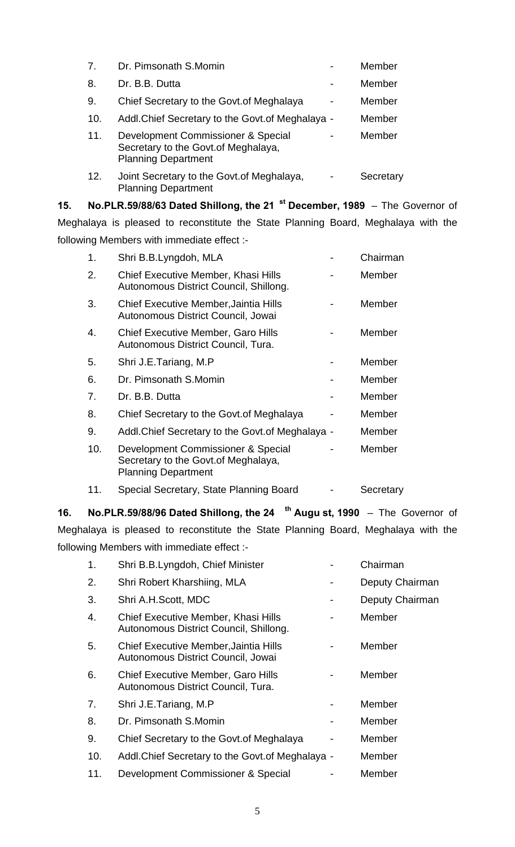| 7.  | Dr. Pimsonath S.Momin                                                                                    |                          | Member    |
|-----|----------------------------------------------------------------------------------------------------------|--------------------------|-----------|
| 8.  | Dr. B.B. Dutta                                                                                           |                          | Member    |
| 9.  | Chief Secretary to the Govt. of Meghalaya                                                                | $\overline{\phantom{a}}$ | Member    |
| 10. | Addl. Chief Secretary to the Govt. of Meghalaya -                                                        |                          | Member    |
| 11. | Development Commissioner & Special<br>Secretary to the Govt. of Meghalaya,<br><b>Planning Department</b> |                          | Member    |
| 12. | Joint Secretary to the Govt. of Meghalaya,<br><b>Planning Department</b>                                 |                          | Secretary |

**15. No.PLR.59/88/63 Dated Shillong, the 21 st December, 1989** – The Governor of Meghalaya is pleased to reconstitute the State Planning Board, Meghalaya with the following Members with immediate effect :-

| 1.  | Shri B.B.Lyngdoh, MLA                                                                                    | Chairman  |
|-----|----------------------------------------------------------------------------------------------------------|-----------|
| 2.  | Chief Executive Member, Khasi Hills<br>Autonomous District Council, Shillong.                            | Member    |
| 3.  | Chief Executive Member, Jaintia Hills<br>Autonomous District Council, Jowai                              | Member    |
| 4.  | <b>Chief Executive Member, Garo Hills</b><br>Autonomous District Council, Tura.                          | Member    |
| 5.  | Shri J.E.Tariang, M.P                                                                                    | Member    |
| 6.  | Dr. Pimsonath S.Momin                                                                                    | Member    |
| 7.  | Dr. B.B. Dutta                                                                                           | Member    |
| 8.  | Chief Secretary to the Govt. of Meghalaya                                                                | Member    |
| 9.  | Addl. Chief Secretary to the Govt. of Meghalaya -                                                        | Member    |
| 10. | Development Commissioner & Special<br>Secretary to the Govt. of Meghalaya,<br><b>Planning Department</b> | Member    |
| 11. | Special Secretary, State Planning Board                                                                  | Secretary |

**16. No.PLR.59/88/96 Dated Shillong, the 24 th Augu st, 1990** – The Governor of Meghalaya is pleased to reconstitute the State Planning Board, Meghalaya with the following Members with immediate effect :-

| 1.  | Shri B.B.Lyngdoh, Chief Minister                                                | Chairman        |
|-----|---------------------------------------------------------------------------------|-----------------|
| 2.  | Shri Robert Kharshiing, MLA                                                     | Deputy Chairman |
| 3.  | Shri A.H.Scott, MDC                                                             | Deputy Chairman |
| 4.  | Chief Executive Member, Khasi Hills<br>Autonomous District Council, Shillong.   | Member          |
| 5.  | Chief Executive Member, Jaintia Hills<br>Autonomous District Council, Jowai     | Member          |
| 6.  | <b>Chief Executive Member, Garo Hills</b><br>Autonomous District Council, Tura. | Member          |
| 7.  | Shri J.E.Tariang, M.P                                                           | Member          |
| 8.  | Dr. Pimsonath S.Momin                                                           | Member          |
| 9.  | Chief Secretary to the Govt. of Meghalaya                                       | Member          |
| 10. | Addl. Chief Secretary to the Govt. of Meghalaya -                               | Member          |
| 11. | Development Commissioner & Special                                              | Member          |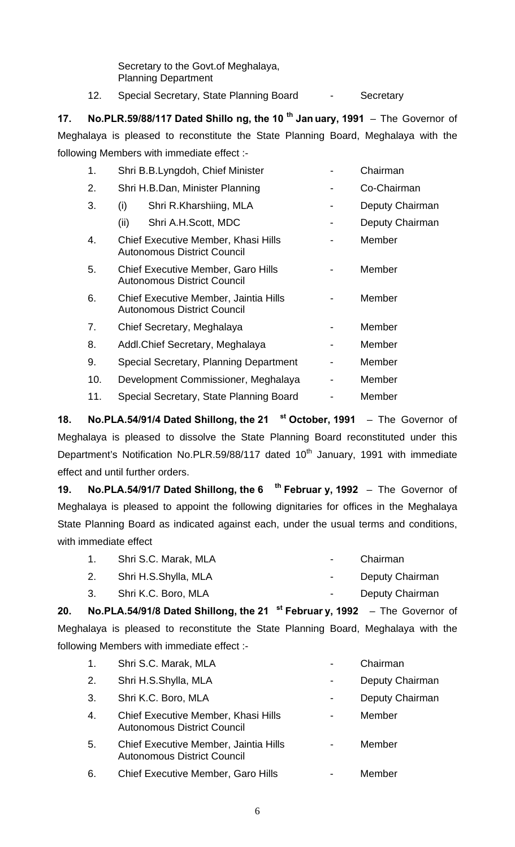Secretary to the Govt.of Meghalaya, Planning Department

12. Special Secretary, State Planning Board - Secretary

**17. No.PLR.59/88/117 Dated Shillo ng, the 10 th Jan uary, 1991** – The Governor of Meghalaya is pleased to reconstitute the State Planning Board, Meghalaya with the following Members with immediate effect :-

| 1.  | Shri B.B.Lyngdoh, Chief Minister                                                | Chairman        |
|-----|---------------------------------------------------------------------------------|-----------------|
| 2.  | Shri H.B.Dan, Minister Planning                                                 | Co-Chairman     |
| 3.  | (i)<br>Shri R.Kharshiing, MLA                                                   | Deputy Chairman |
|     | (ii)<br>Shri A.H.Scott, MDC                                                     | Deputy Chairman |
| 4.  | Chief Executive Member, Khasi Hills<br><b>Autonomous District Council</b>       | Member          |
| 5.  | <b>Chief Executive Member, Garo Hills</b><br><b>Autonomous District Council</b> | Member          |
| 6.  | Chief Executive Member, Jaintia Hills<br><b>Autonomous District Council</b>     | Member          |
| 7.  | Chief Secretary, Meghalaya                                                      | Member          |
| 8.  | Addl. Chief Secretary, Meghalaya                                                | Member          |
| 9.  | Special Secretary, Planning Department                                          | Member          |
| 10. | Development Commissioner, Meghalaya                                             | Member          |
| 11. | Special Secretary, State Planning Board                                         | Member          |

**18. No.PLA.54/91/4 Dated Shillong, the 21 st October, 1991** – The Governor of Meghalaya is pleased to dissolve the State Planning Board reconstituted under this Department's Notification No.PLR.59/88/117 dated 10<sup>th</sup> January, 1991 with immediate effect and until further orders.

**19. No.PLA.54/91/7 Dated Shillong, the 6 th Februar y, 1992** – The Governor of Meghalaya is pleased to appoint the following dignitaries for offices in the Meghalaya State Planning Board as indicated against each, under the usual terms and conditions, with immediate effect

|    | Shri S.C. Marak, MLA |                  | Chairman        |
|----|----------------------|------------------|-----------------|
| 2. | Shri H.S.Shylla, MLA | $\sim$ 100 $\mu$ | Deputy Chairman |

3. Shri K.C. Boro, MLA - Care and Alexander Chairman

**20. No.PLA.54/91/8 Dated Shillong, the 21 st Februar y, 1992** – The Governor of Meghalaya is pleased to reconstitute the State Planning Board, Meghalaya with the following Members with immediate effect :-

| $\mathbf{1}$ . | Shri S.C. Marak, MLA                                                        | Chairman        |
|----------------|-----------------------------------------------------------------------------|-----------------|
| 2.             | Shri H.S.Shylla, MLA                                                        | Deputy Chairman |
| 3.             | Shri K.C. Boro, MLA                                                         | Deputy Chairman |
| 4.             | Chief Executive Member, Khasi Hills<br><b>Autonomous District Council</b>   | Member          |
| 5.             | Chief Executive Member, Jaintia Hills<br><b>Autonomous District Council</b> | Member          |
| 6.             | <b>Chief Executive Member, Garo Hills</b>                                   | Member          |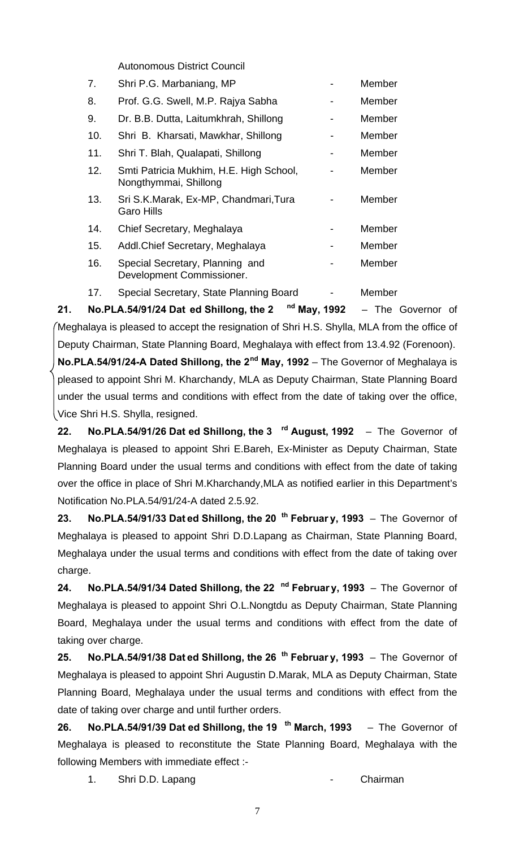Autonomous District Council

| 7.  | Shri P.G. Marbaniang, MP                                         | Member |
|-----|------------------------------------------------------------------|--------|
| 8.  | Prof. G.G. Swell, M.P. Rajya Sabha                               | Member |
| 9.  | Dr. B.B. Dutta, Laitumkhrah, Shillong                            | Member |
| 10. | Shri B. Kharsati, Mawkhar, Shillong                              | Member |
| 11. | Shri T. Blah, Qualapati, Shillong                                | Member |
| 12. | Smti Patricia Mukhim, H.E. High School,<br>Nongthymmai, Shillong | Member |
| 13. | Sri S.K.Marak, Ex-MP, Chandmari, Tura<br><b>Garo Hills</b>       | Member |
| 14. | Chief Secretary, Meghalaya                                       | Member |
| 15. | Addl. Chief Secretary, Meghalaya                                 | Member |
| 16. | Special Secretary, Planning and<br>Development Commissioner.     | Member |
| 17. | Special Secretary, State Planning Board                          | Member |
|     | المحب                                                            |        |

**21. No.PLA.54/91/24 Dat ed Shillong, the 2 nd May, 1992** – The Governor of Meghalaya is pleased to accept the resignation of Shri H.S. Shylla, MLA from the office of Deputy Chairman, State Planning Board, Meghalaya with effect from 13.4.92 (Forenoon).

**No.PLA.54/91/24-A Dated Shillong, the 2nd May, 1992** – The Governor of Meghalaya is pleased to appoint Shri M. Kharchandy, MLA as Deputy Chairman, State Planning Board under the usual terms and conditions with effect from the date of taking over the office, Vice Shri H.S. Shylla, resigned.

**22. No.PLA.54/91/26 Dat ed Shillong, the 3 rd August, 1992** – The Governor of Meghalaya is pleased to appoint Shri E.Bareh, Ex-Minister as Deputy Chairman, State Planning Board under the usual terms and conditions with effect from the date of taking over the office in place of Shri M.Kharchandy,MLA as notified earlier in this Department's Notification No.PLA.54/91/24-A dated 2.5.92.

**23. No.PLA.54/91/33 Dat ed Shillong, the 20 th Februar y, 1993** – The Governor of Meghalaya is pleased to appoint Shri D.D.Lapang as Chairman, State Planning Board, Meghalaya under the usual terms and conditions with effect from the date of taking over charge.

**24. No.PLA.54/91/34 Dated Shillong, the 22 nd Februar y, 1993** – The Governor of Meghalaya is pleased to appoint Shri O.L.Nongtdu as Deputy Chairman, State Planning Board, Meghalaya under the usual terms and conditions with effect from the date of taking over charge.

**25. No.PLA.54/91/38 Dat ed Shillong, the 26 th Februar y, 1993** – The Governor of Meghalaya is pleased to appoint Shri Augustin D.Marak, MLA as Deputy Chairman, State Planning Board, Meghalaya under the usual terms and conditions with effect from the date of taking over charge and until further orders.

**26. No.PLA.54/91/39 Dat ed Shillong, the 19 th March, 1993** – The Governor of Meghalaya is pleased to reconstitute the State Planning Board, Meghalaya with the following Members with immediate effect :-

1. Shri D.D. Lapang **1.** Chairman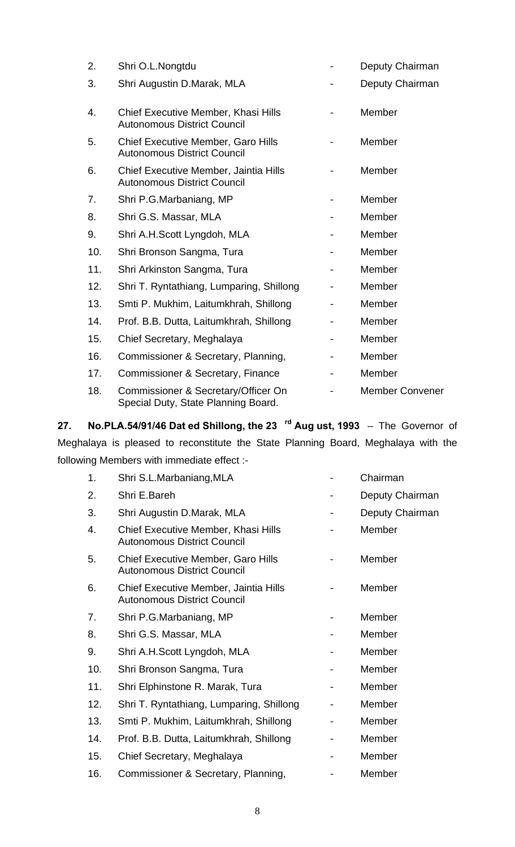| 2.  | Shri O.L.Nongtdu                                                                |   | Deputy Chairman        |
|-----|---------------------------------------------------------------------------------|---|------------------------|
| 3.  | Shri Augustin D.Marak, MLA                                                      |   | Deputy Chairman        |
| 4.  | Chief Executive Member, Khasi Hills<br><b>Autonomous District Council</b>       |   | Member                 |
| 5.  | <b>Chief Executive Member, Garo Hills</b><br><b>Autonomous District Council</b> |   | Member                 |
| 6.  | Chief Executive Member, Jaintia Hills<br><b>Autonomous District Council</b>     |   | Member                 |
| 7.  | Shri P.G.Marbaniang, MP                                                         |   | Member                 |
| 8.  | Shri G.S. Massar, MLA                                                           |   | Member                 |
| 9.  | Shri A.H.Scott Lyngdoh, MLA                                                     |   | Member                 |
| 10. | Shri Bronson Sangma, Tura                                                       | - | Member                 |
| 11. | Shri Arkinston Sangma, Tura                                                     |   | Member                 |
| 12. | Shri T. Ryntathiang, Lumparing, Shillong                                        |   | Member                 |
| 13. | Smti P. Mukhim, Laitumkhrah, Shillong                                           |   | Member                 |
| 14. | Prof. B.B. Dutta, Laitumkhrah, Shillong                                         |   | Member                 |
| 15. | Chief Secretary, Meghalaya                                                      | - | Member                 |
| 16. | Commissioner & Secretary, Planning,                                             |   | Member                 |
| 17. | Commissioner & Secretary, Finance                                               |   | Member                 |
| 18. | Commissioner & Secretary/Officer On<br>Special Duty, State Planning Board.      |   | <b>Member Convener</b> |

**27. No.PLA.54/91/46 Dat ed Shillong, the 23 rd Aug ust, 1993** – The Governor of Meghalaya is pleased to reconstitute the State Planning Board, Meghalaya with the following Members with immediate effect :-

| 1.  | Shri S.L.Marbaniang, MLA                                                        | Chairman        |
|-----|---------------------------------------------------------------------------------|-----------------|
| 2.  | Shri E.Bareh                                                                    | Deputy Chairman |
| 3.  | Shri Augustin D.Marak, MLA                                                      | Deputy Chairman |
| 4.  | Chief Executive Member, Khasi Hills<br><b>Autonomous District Council</b>       | Member          |
| 5.  | <b>Chief Executive Member, Garo Hills</b><br><b>Autonomous District Council</b> | Member          |
| 6.  | Chief Executive Member, Jaintia Hills<br><b>Autonomous District Council</b>     | Member          |
| 7.  | Shri P.G.Marbaniang, MP                                                         | Member          |
| 8.  | Shri G.S. Massar, MLA                                                           | Member          |
| 9.  | Shri A.H.Scott Lyngdoh, MLA                                                     | Member          |
| 10. | Shri Bronson Sangma, Tura                                                       | Member          |
| 11. | Shri Elphinstone R. Marak, Tura                                                 | Member          |
| 12. | Shri T. Ryntathiang, Lumparing, Shillong                                        | Member          |
| 13. | Smti P. Mukhim, Laitumkhrah, Shillong                                           | Member          |
| 14. | Prof. B.B. Dutta, Laitumkhrah, Shillong                                         | Member          |
| 15. | Chief Secretary, Meghalaya                                                      | Member          |
| 16. | Commissioner & Secretary, Planning,                                             | Member          |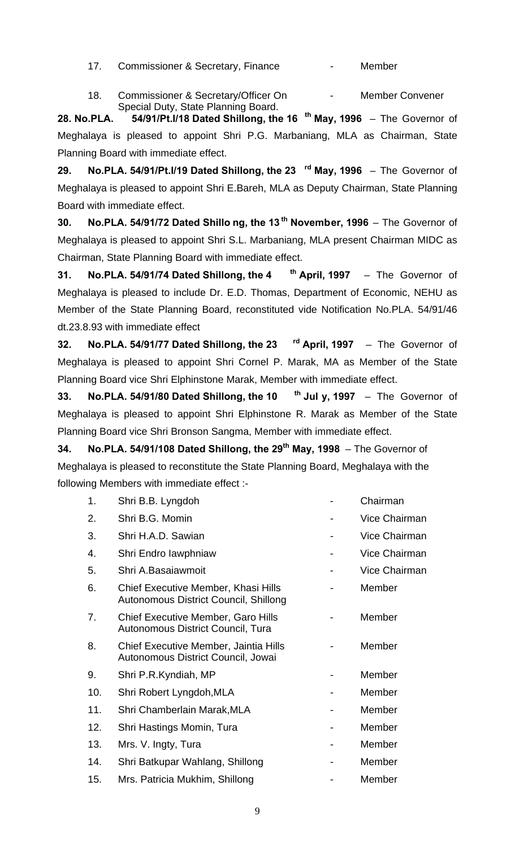- 17. Commissioner & Secretary, Finance  **Member**
- 18. Commissioner & Secretary/Officer On Facebook Member Convener Special Duty, State Planning Board.

**28. No.PLA. 54/91/Pt.I/18 Dated Shillong, the 16 th May, 1996** – The Governor of Meghalaya is pleased to appoint Shri P.G. Marbaniang, MLA as Chairman, State Planning Board with immediate effect.

**29. No.PLA. 54/91/Pt.I/19 Dated Shillong, the 23 rd May, 1996** – The Governor of Meghalaya is pleased to appoint Shri E.Bareh, MLA as Deputy Chairman, State Planning Board with immediate effect.

**30. No.PLA. 54/91/72 Dated Shillo ng, the 13 th November, 1996** – The Governor of Meghalaya is pleased to appoint Shri S.L. Marbaniang, MLA present Chairman MIDC as Chairman, State Planning Board with immediate effect.

**31. No.PLA. 54/91/74 Dated Shillong, the 4 th April, 1997** – The Governor of Meghalaya is pleased to include Dr. E.D. Thomas, Department of Economic, NEHU as Member of the State Planning Board, reconstituted vide Notification No.PLA. 54/91/46 dt.23.8.93 with immediate effect

**32. No.PLA. 54/91/77 Dated Shillong, the 23 rd April, 1997** – The Governor of Meghalaya is pleased to appoint Shri Cornel P. Marak, MA as Member of the State Planning Board vice Shri Elphinstone Marak, Member with immediate effect.

**33. No.PLA. 54/91/80 Dated Shillong, the 10 th Jul y, 1997** – The Governor of Meghalaya is pleased to appoint Shri Elphinstone R. Marak as Member of the State Planning Board vice Shri Bronson Sangma, Member with immediate effect.

**34. No.PLA. 54/91/108 Dated Shillong, the 29th May, 1998** – The Governor of Meghalaya is pleased to reconstitute the State Planning Board, Meghalaya with the following Members with immediate effect :-

| 1.  | Shri B.B. Lyngdoh                                                              | Chairman             |
|-----|--------------------------------------------------------------------------------|----------------------|
| 2.  | Shri B.G. Momin                                                                | Vice Chairman        |
| 3.  | Shri H.A.D. Sawian                                                             | <b>Vice Chairman</b> |
| 4.  | Shri Endro lawphniaw                                                           | Vice Chairman        |
| 5.  | Shri A.Basaiawmoit                                                             | Vice Chairman        |
| 6.  | Chief Executive Member, Khasi Hills<br>Autonomous District Council, Shillong   | Member               |
| 7.  | <b>Chief Executive Member, Garo Hills</b><br>Autonomous District Council, Tura | Member               |
| 8.  | Chief Executive Member, Jaintia Hills<br>Autonomous District Council, Jowai    | Member               |
| 9.  | Shri P.R.Kyndiah, MP                                                           | Member               |
| 10. | Shri Robert Lyngdoh, MLA                                                       | Member               |
| 11. | Shri Chamberlain Marak, MLA                                                    | Member               |
| 12. | Shri Hastings Momin, Tura                                                      | Member               |
| 13. | Mrs. V. Ingty, Tura                                                            | Member               |
| 14. | Shri Batkupar Wahlang, Shillong                                                | Member               |
| 15. | Mrs. Patricia Mukhim, Shillong                                                 | Member               |
|     |                                                                                |                      |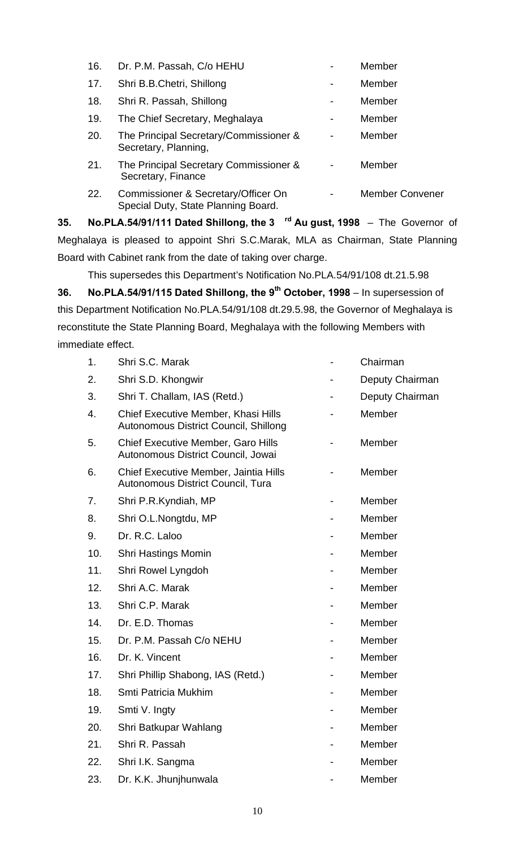| 16. | Dr. P.M. Passah, C/o HEHU                                                  | Member                 |
|-----|----------------------------------------------------------------------------|------------------------|
| 17. | Shri B.B.Chetri, Shillong                                                  | Member                 |
| 18. | Shri R. Passah, Shillong                                                   | Member                 |
| 19. | The Chief Secretary, Meghalaya                                             | Member                 |
| 20. | The Principal Secretary/Commissioner &<br>Secretary, Planning,             | Member                 |
| 21. | The Principal Secretary Commissioner &<br>Secretary, Finance               | Member                 |
| 22. | Commissioner & Secretary/Officer On<br>Special Duty, State Planning Board. | <b>Member Convener</b> |

**35. No.PLA.54/91/111 Dated Shillong, the 3 rd Au gust, 1998** – The Governor of Meghalaya is pleased to appoint Shri S.C.Marak, MLA as Chairman, State Planning Board with Cabinet rank from the date of taking over charge.

This supersedes this Department's Notification No.PLA.54/91/108 dt.21.5.98

**36. No.PLA.54/91/115 Dated Shillong, the 9th October, 1998** – In supersession of this Department Notification No.PLA.54/91/108 dt.29.5.98, the Governor of Meghalaya is reconstitute the State Planning Board, Meghalaya with the following Members with immediate effect.

| 1.  | Shri S.C. Marak                                                                     | Chairman        |
|-----|-------------------------------------------------------------------------------------|-----------------|
| 2.  | Shri S.D. Khongwir                                                                  | Deputy Chairman |
| 3.  | Shri T. Challam, IAS (Retd.)                                                        | Deputy Chairman |
| 4.  | <b>Chief Executive Member, Khasi Hills</b><br>Autonomous District Council, Shillong | Member          |
| 5.  | <b>Chief Executive Member, Garo Hills</b><br>Autonomous District Council, Jowai     | Member          |
| 6.  | Chief Executive Member, Jaintia Hills<br>Autonomous District Council, Tura          | Member          |
| 7.  | Shri P.R.Kyndiah, MP                                                                | Member          |
| 8.  | Shri O.L.Nongtdu, MP                                                                | Member          |
| 9.  | Dr. R.C. Laloo                                                                      | Member          |
| 10. | <b>Shri Hastings Momin</b>                                                          | Member          |
| 11. | Shri Rowel Lyngdoh                                                                  | Member          |
| 12. | Shri A.C. Marak                                                                     | Member          |
| 13. | Shri C.P. Marak                                                                     | Member          |
| 14. | Dr. E.D. Thomas                                                                     | Member          |
| 15. | Dr. P.M. Passah C/o NEHU                                                            | Member          |
| 16. | Dr. K. Vincent                                                                      | Member          |
| 17. | Shri Phillip Shabong, IAS (Retd.)                                                   | Member          |
| 18. | Smti Patricia Mukhim                                                                | Member          |
| 19. | Smti V. Ingty                                                                       | Member          |
| 20. | Shri Batkupar Wahlang                                                               | Member          |
| 21. | Shri R. Passah                                                                      | Member          |
| 22. | Shri I.K. Sangma                                                                    | Member          |
| 23. | Dr. K.K. Jhunjhunwala                                                               | Member          |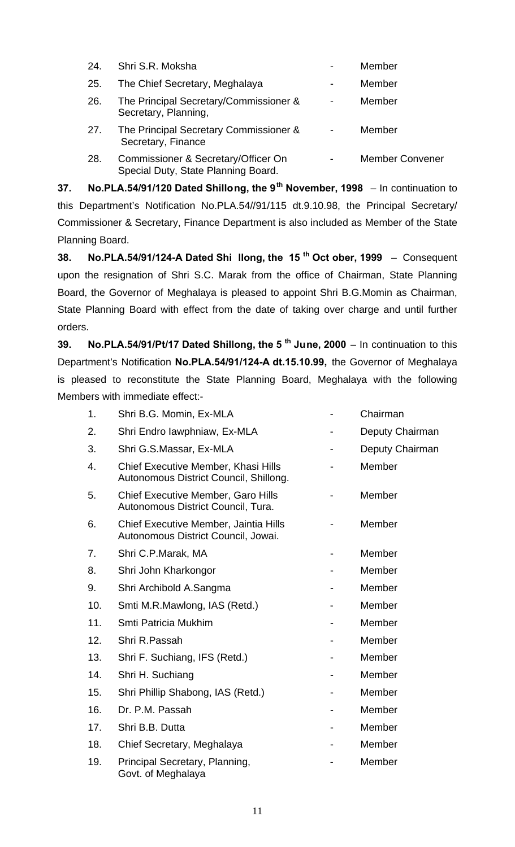| 24. | Shri S.R. Moksha                                                           |                | Member                 |
|-----|----------------------------------------------------------------------------|----------------|------------------------|
| 25. | The Chief Secretary, Meghalaya                                             | $\blacksquare$ | Member                 |
| 26. | The Principal Secretary/Commissioner &<br>Secretary, Planning,             | $\blacksquare$ | Member                 |
| 27. | The Principal Secretary Commissioner &<br>Secretary, Finance               |                | Member                 |
| 28. | Commissioner & Secretary/Officer On<br>Special Duty, State Planning Board. |                | <b>Member Convener</b> |

**37. No.PLA.54/91/120 Dated Shillong, the 9th November, 1998** – In continuation to this Department's Notification No.PLA.54//91/115 dt.9.10.98, the Principal Secretary/ Commissioner & Secretary, Finance Department is also included as Member of the State Planning Board.

**38. No.PLA.54/91/124-A Dated Shi llong, the 15 th Oct ober, 1999** – Consequent upon the resignation of Shri S.C. Marak from the office of Chairman, State Planning Board, the Governor of Meghalaya is pleased to appoint Shri B.G.Momin as Chairman, State Planning Board with effect from the date of taking over charge and until further orders.

**39. No.PLA.54/91/Pt/17 Dated Shillong, the 5 th June, 2000** – In continuation to this Department's Notification **No.PLA.54/91/124-A dt.15.10.99,** the Governor of Meghalaya is pleased to reconstitute the State Planning Board, Meghalaya with the following Members with immediate effect:-

| 1.  | Shri B.G. Momin, Ex-MLA                                                         | Chairman        |
|-----|---------------------------------------------------------------------------------|-----------------|
| 2.  | Shri Endro lawphniaw, Ex-MLA                                                    | Deputy Chairman |
| 3.  | Shri G.S.Massar, Ex-MLA                                                         | Deputy Chairman |
| 4.  | Chief Executive Member, Khasi Hills<br>Autonomous District Council, Shillong.   | Member          |
| 5.  | <b>Chief Executive Member, Garo Hills</b><br>Autonomous District Council, Tura. | Member          |
| 6.  | Chief Executive Member, Jaintia Hills<br>Autonomous District Council, Jowai.    | Member          |
| 7.  | Shri C.P.Marak, MA                                                              | Member          |
| 8.  | Shri John Kharkongor                                                            | Member          |
| 9.  | Shri Archibold A.Sangma                                                         | Member          |
| 10. | Smti M.R.Mawlong, IAS (Retd.)                                                   | Member          |
| 11. | Smti Patricia Mukhim                                                            | Member          |
| 12. | Shri R.Passah                                                                   | Member          |
| 13. | Shri F. Suchiang, IFS (Retd.)                                                   | Member          |
| 14. | Shri H. Suchiang                                                                | Member          |
| 15. | Shri Phillip Shabong, IAS (Retd.)                                               | Member          |
| 16. | Dr. P.M. Passah                                                                 | Member          |
| 17. | Shri B.B. Dutta                                                                 | Member          |
| 18. | Chief Secretary, Meghalaya                                                      | Member          |
| 19. | Principal Secretary, Planning,<br>Govt. of Meghalaya                            | Member          |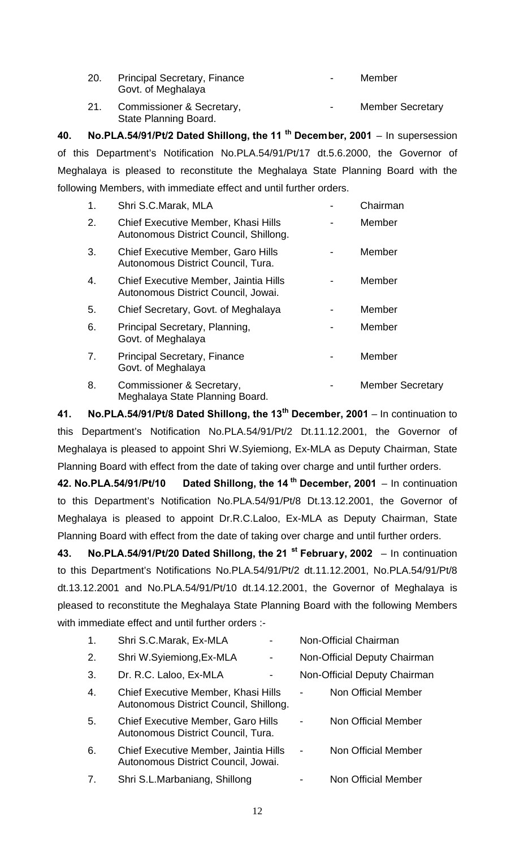| 20. | <b>Principal Secretary, Finance</b> | $\,$ | Member |
|-----|-------------------------------------|------|--------|
|     | Govt. of Meghalaya                  |      |        |

21. Commissioner & Secretary, The Commissioner & Secretary, State Planning Board.

**40. No.PLA.54/91/Pt/2 Dated Shillong, the 11 th December, 2001** – In supersession of this Department's Notification No.PLA.54/91/Pt/17 dt.5.6.2000, the Governor of Meghalaya is pleased to reconstitute the Meghalaya State Planning Board with the following Members, with immediate effect and until further orders.

| 1. | Shri S.C.Marak, MLA                                                             | Chairman                |
|----|---------------------------------------------------------------------------------|-------------------------|
| 2. | Chief Executive Member, Khasi Hills<br>Autonomous District Council, Shillong.   | Member                  |
| 3. | <b>Chief Executive Member, Garo Hills</b><br>Autonomous District Council, Tura. | Member                  |
| 4. | Chief Executive Member, Jaintia Hills<br>Autonomous District Council, Jowai.    | Member                  |
| 5. | Chief Secretary, Govt. of Meghalaya                                             | Member                  |
| 6. | Principal Secretary, Planning,<br>Govt. of Meghalaya                            | Member                  |
| 7. | <b>Principal Secretary, Finance</b><br>Govt. of Meghalaya                       | Member                  |
| 8. | Commissioner & Secretary,                                                       | <b>Member Secretary</b> |

Meghalaya State Planning Board.

**41. No.PLA.54/91/Pt/8 Dated Shillong, the 13th December, 2001** – In continuation to this Department's Notification No.PLA.54/91/Pt/2 Dt.11.12.2001, the Governor of Meghalaya is pleased to appoint Shri W.Syiemiong, Ex-MLA as Deputy Chairman, State Planning Board with effect from the date of taking over charge and until further orders.

**42. No.PLA.54/91/Pt/10 Dated Shillong, the 14 th December, 2001** – In continuation to this Department's Notification No.PLA.54/91/Pt/8 Dt.13.12.2001, the Governor of Meghalaya is pleased to appoint Dr.R.C.Laloo, Ex-MLA as Deputy Chairman, State Planning Board with effect from the date of taking over charge and until further orders.

**43. No.PLA.54/91/Pt/20 Dated Shillong, the 21 st February, 2002** – In continuation to this Department's Notifications No.PLA.54/91/Pt/2 dt.11.12.2001, No.PLA.54/91/Pt/8 dt.13.12.2001 and No.PLA.54/91/Pt/10 dt.14.12.2001, the Governor of Meghalaya is pleased to reconstitute the Meghalaya State Planning Board with the following Members with immediate effect and until further orders :-

| 1.               | Shri S.C.Marak, Ex-MLA                                                          |   |                          | Non-Official Chairman        |
|------------------|---------------------------------------------------------------------------------|---|--------------------------|------------------------------|
| 2.               | Shri W.Syiemiong, Ex-MLA                                                        | - |                          | Non-Official Deputy Chairman |
| 3.               | Dr. R.C. Laloo, Ex-MLA                                                          |   |                          | Non-Official Deputy Chairman |
| $\overline{4}$ . | Chief Executive Member, Khasi Hills<br>Autonomous District Council, Shillong.   |   |                          | Non Official Member          |
| 5.               | <b>Chief Executive Member, Garo Hills</b><br>Autonomous District Council, Tura. |   |                          | Non Official Member          |
| 6.               | Chief Executive Member, Jaintia Hills<br>Autonomous District Council, Jowai.    |   | $\overline{\phantom{a}}$ | Non Official Member          |
| 7.               | Shri S.L.Marbaniang, Shillong                                                   |   |                          | Non Official Member          |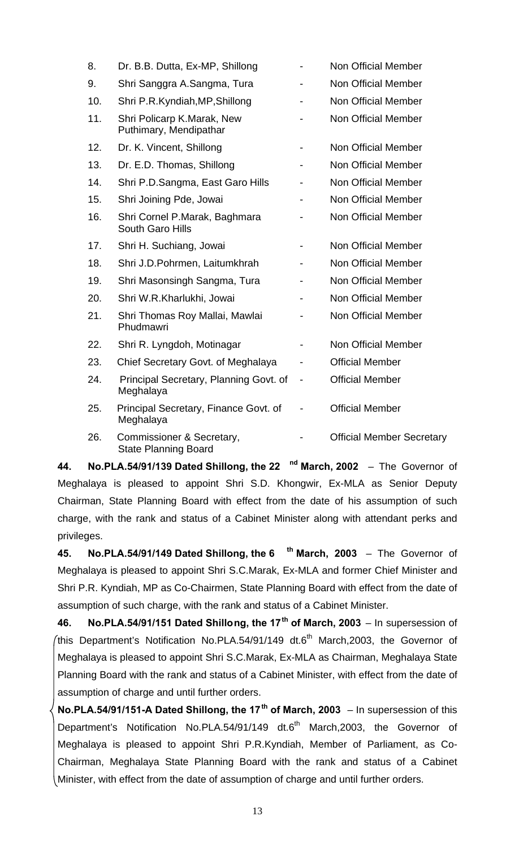| 8.  | Dr. B.B. Dutta, Ex-MP, Shillong                          |                              | <b>Non Official Member</b>       |
|-----|----------------------------------------------------------|------------------------------|----------------------------------|
| 9.  | Shri Sanggra A.Sangma, Tura                              |                              | Non Official Member              |
| 10. | Shri P.R.Kyndiah, MP, Shillong                           |                              | Non Official Member              |
| 11. | Shri Policarp K.Marak, New<br>Puthimary, Mendipathar     |                              | <b>Non Official Member</b>       |
| 12. | Dr. K. Vincent, Shillong                                 |                              | Non Official Member              |
| 13. | Dr. E.D. Thomas, Shillong                                |                              | <b>Non Official Member</b>       |
| 14. | Shri P.D.Sangma, East Garo Hills                         |                              | <b>Non Official Member</b>       |
| 15. | Shri Joining Pde, Jowai                                  |                              | Non Official Member              |
| 16. | Shri Cornel P.Marak, Baghmara<br>South Garo Hills        |                              | <b>Non Official Member</b>       |
| 17. | Shri H. Suchiang, Jowai                                  |                              | Non Official Member              |
| 18. | Shri J.D.Pohrmen, Laitumkhrah                            |                              | <b>Non Official Member</b>       |
| 19. | Shri Masonsingh Sangma, Tura                             |                              | Non Official Member              |
| 20. | Shri W.R.Kharlukhi, Jowai                                |                              | Non Official Member              |
| 21. | Shri Thomas Roy Mallai, Mawlai<br>Phudmawri              |                              | <b>Non Official Member</b>       |
| 22. | Shri R. Lyngdoh, Motinagar                               |                              | Non Official Member              |
| 23. | Chief Secretary Govt. of Meghalaya                       |                              | <b>Official Member</b>           |
| 24. | Principal Secretary, Planning Govt. of<br>Meghalaya      | $\qquad \qquad \blacksquare$ | <b>Official Member</b>           |
| 25. | Principal Secretary, Finance Govt. of<br>Meghalaya       |                              | <b>Official Member</b>           |
| 26. | Commissioner & Secretary,<br><b>State Planning Board</b> |                              | <b>Official Member Secretary</b> |

**44. No.PLA.54/91/139 Dated Shillong, the 22 nd March, 2002** – The Governor of Meghalaya is pleased to appoint Shri S.D. Khongwir, Ex-MLA as Senior Deputy Chairman, State Planning Board with effect from the date of his assumption of such charge, with the rank and status of a Cabinet Minister along with attendant perks and privileges.

**45. No.PLA.54/91/149 Dated Shillong, the 6 th March, 2003** – The Governor of Meghalaya is pleased to appoint Shri S.C.Marak, Ex-MLA and former Chief Minister and Shri P.R. Kyndiah, MP as Co-Chairmen, State Planning Board with effect from the date of assumption of such charge, with the rank and status of a Cabinet Minister.

**46. No.PLA.54/91/151 Dated Shillong, the 17th of March, 2003** – In supersession of (this Department's Notification No.PLA.54/91/149 dt.6<sup>th</sup> March, 2003, the Governor of Meghalaya is pleased to appoint Shri S.C.Marak, Ex-MLA as Chairman, Meghalaya State Planning Board with the rank and status of a Cabinet Minister, with effect from the date of assumption of charge and until further orders.

**No.PLA.54/91/151-A Dated Shillong, the 17th of March, 2003** – In supersession of this Department's Notification No.PLA.54/91/149 dt.6<sup>th</sup> March,2003, the Governor of Meghalaya is pleased to appoint Shri P.R.Kyndiah, Member of Parliament, as Co-Chairman, Meghalaya State Planning Board with the rank and status of a Cabinet Minister, with effect from the date of assumption of charge and until further orders.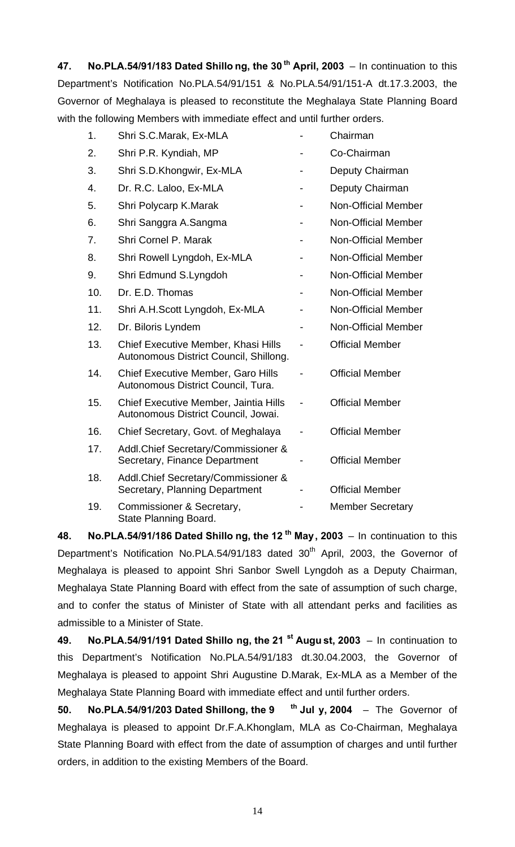**47. No.PLA.54/91/183 Dated Shillo ng, the 30 th April, 2003** – In continuation to this Department's Notification No.PLA.54/91/151 & No.PLA.54/91/151-A dt.17.3.2003, the Governor of Meghalaya is pleased to reconstitute the Meghalaya State Planning Board with the following Members with immediate effect and until further orders.

| 1.  | Shri S.C.Marak, Ex-MLA                                                          | Chairman                   |
|-----|---------------------------------------------------------------------------------|----------------------------|
| 2.  | Shri P.R. Kyndiah, MP                                                           | Co-Chairman                |
| 3.  | Shri S.D.Khongwir, Ex-MLA                                                       | Deputy Chairman            |
| 4.  | Dr. R.C. Laloo, Ex-MLA                                                          | Deputy Chairman            |
| 5.  | Shri Polycarp K.Marak                                                           | <b>Non-Official Member</b> |
| 6.  | Shri Sanggra A.Sangma                                                           | <b>Non-Official Member</b> |
| 7.  | Shri Cornel P. Marak                                                            | <b>Non-Official Member</b> |
| 8.  | Shri Rowell Lyngdoh, Ex-MLA                                                     | <b>Non-Official Member</b> |
| 9.  | Shri Edmund S.Lyngdoh                                                           | <b>Non-Official Member</b> |
| 10. | Dr. E.D. Thomas                                                                 | <b>Non-Official Member</b> |
| 11. | Shri A.H.Scott Lyngdoh, Ex-MLA                                                  | <b>Non-Official Member</b> |
| 12. | Dr. Biloris Lyndem                                                              | Non-Official Member        |
| 13. | Chief Executive Member, Khasi Hills<br>Autonomous District Council, Shillong.   | <b>Official Member</b>     |
| 14. | <b>Chief Executive Member, Garo Hills</b><br>Autonomous District Council, Tura. | <b>Official Member</b>     |
| 15. | Chief Executive Member, Jaintia Hills<br>Autonomous District Council, Jowai.    | <b>Official Member</b>     |
| 16. | Chief Secretary, Govt. of Meghalaya                                             | <b>Official Member</b>     |
| 17. | Addl.Chief Secretary/Commissioner &<br>Secretary, Finance Department            | <b>Official Member</b>     |
| 18. | Addl. Chief Secretary/Commissioner &<br>Secretary, Planning Department          | <b>Official Member</b>     |
| 19. | Commissioner & Secretary,<br>State Planning Board.                              | <b>Member Secretary</b>    |

**48. No.PLA.54/91/186 Dated Shillo ng, the 12 th May, 2003** – In continuation to this Department's Notification No.PLA.54/91/183 dated 30<sup>th</sup> April, 2003, the Governor of Meghalaya is pleased to appoint Shri Sanbor Swell Lyngdoh as a Deputy Chairman, Meghalaya State Planning Board with effect from the sate of assumption of such charge, and to confer the status of Minister of State with all attendant perks and facilities as admissible to a Minister of State.

**49. No.PLA.54/91/191 Dated Shillo ng, the 21 st Augu st, 2003** – In continuation to this Department's Notification No.PLA.54/91/183 dt.30.04.2003, the Governor of Meghalaya is pleased to appoint Shri Augustine D.Marak, Ex-MLA as a Member of the Meghalaya State Planning Board with immediate effect and until further orders.

**50. No.PLA.54/91/203 Dated Shillong, the 9 th Jul y, 2004** – The Governor of Meghalaya is pleased to appoint Dr.F.A.Khonglam, MLA as Co-Chairman, Meghalaya State Planning Board with effect from the date of assumption of charges and until further orders, in addition to the existing Members of the Board.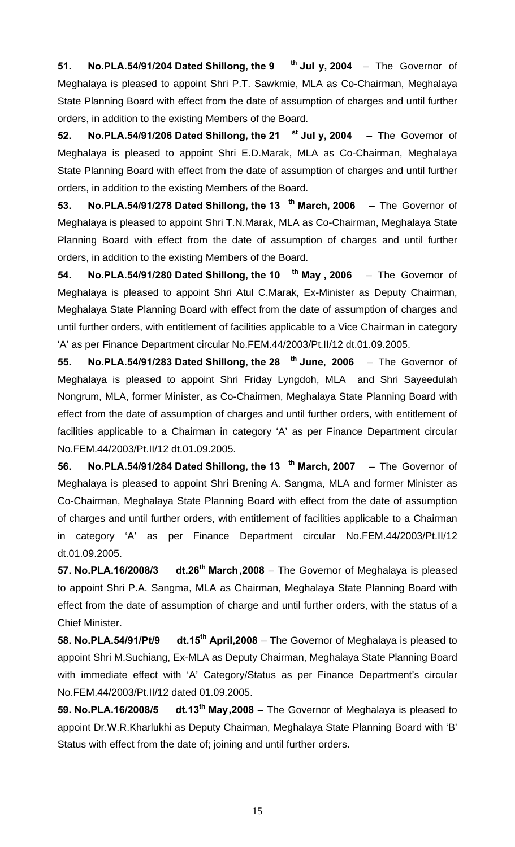**51. No.PLA.54/91/204 Dated Shillong, the 9 th Jul y, 2004** – The Governor of Meghalaya is pleased to appoint Shri P.T. Sawkmie, MLA as Co-Chairman, Meghalaya State Planning Board with effect from the date of assumption of charges and until further orders, in addition to the existing Members of the Board.

**52. No.PLA.54/91/206 Dated Shillong, the 21 st Jul y, 2004** – The Governor of Meghalaya is pleased to appoint Shri E.D.Marak, MLA as Co-Chairman, Meghalaya State Planning Board with effect from the date of assumption of charges and until further orders, in addition to the existing Members of the Board.

**53. No.PLA.54/91/278 Dated Shillong, the 13 th March, 2006** – The Governor of Meghalaya is pleased to appoint Shri T.N.Marak, MLA as Co-Chairman, Meghalaya State Planning Board with effect from the date of assumption of charges and until further orders, in addition to the existing Members of the Board.

**54. No.PLA.54/91/280 Dated Shillong, the 10 th May , 2006** – The Governor of Meghalaya is pleased to appoint Shri Atul C.Marak, Ex-Minister as Deputy Chairman, Meghalaya State Planning Board with effect from the date of assumption of charges and until further orders, with entitlement of facilities applicable to a Vice Chairman in category 'A' as per Finance Department circular No.FEM.44/2003/Pt.II/12 dt.01.09.2005.

**55. No.PLA.54/91/283 Dated Shillong, the 28 th June, 2006** – The Governor of Meghalaya is pleased to appoint Shri Friday Lyngdoh, MLA and Shri Sayeedulah Nongrum, MLA, former Minister, as Co-Chairmen, Meghalaya State Planning Board with effect from the date of assumption of charges and until further orders, with entitlement of facilities applicable to a Chairman in category 'A' as per Finance Department circular No.FEM.44/2003/Pt.II/12 dt.01.09.2005.

**56. No.PLA.54/91/284 Dated Shillong, the 13 th March, 2007** – The Governor of Meghalaya is pleased to appoint Shri Brening A. Sangma, MLA and former Minister as Co-Chairman, Meghalaya State Planning Board with effect from the date of assumption of charges and until further orders, with entitlement of facilities applicable to a Chairman in category 'A' as per Finance Department circular No.FEM.44/2003/Pt.II/12 dt.01.09.2005.

**57. No.PLA.16/2008/3 dt.26th March,2008** – The Governor of Meghalaya is pleased to appoint Shri P.A. Sangma, MLA as Chairman, Meghalaya State Planning Board with effect from the date of assumption of charge and until further orders, with the status of a Chief Minister.

**58. No.PLA.54/91/Pt/9 dt.15th April,2008** – The Governor of Meghalaya is pleased to appoint Shri M.Suchiang, Ex-MLA as Deputy Chairman, Meghalaya State Planning Board with immediate effect with 'A' Category/Status as per Finance Department's circular No.FEM.44/2003/Pt.II/12 dated 01.09.2005.

**59. No.PLA.16/2008/5 dt.13th May,2008** – The Governor of Meghalaya is pleased to appoint Dr.W.R.Kharlukhi as Deputy Chairman, Meghalaya State Planning Board with 'B' Status with effect from the date of; joining and until further orders.

15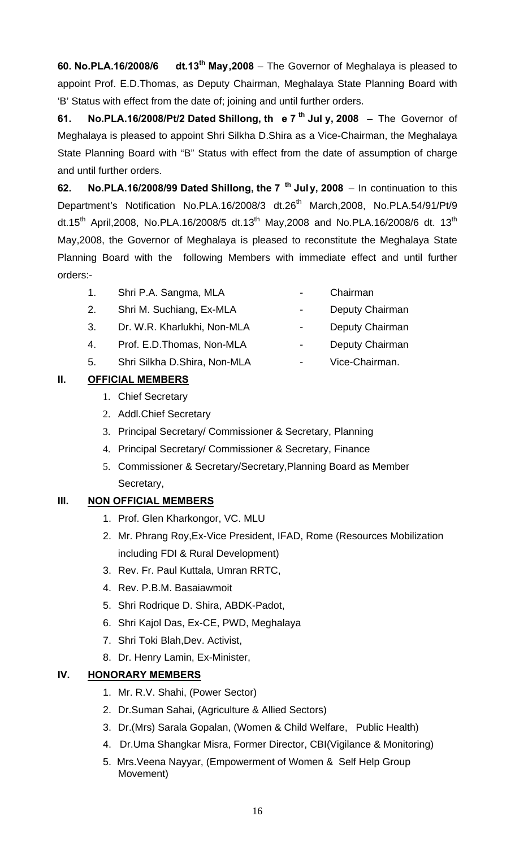**60. No.PLA.16/2008/6 dt.13th May,2008** – The Governor of Meghalaya is pleased to appoint Prof. E.D.Thomas, as Deputy Chairman, Meghalaya State Planning Board with 'B' Status with effect from the date of; joining and until further orders.

**61. No.PLA.16/2008/Pt/2 Dated Shillong, th e 7 th Jul y, 2008** – The Governor of Meghalaya is pleased to appoint Shri Silkha D.Shira as a Vice-Chairman, the Meghalaya State Planning Board with "B" Status with effect from the date of assumption of charge and until further orders.

**62. No.PLA.16/2008/99 Dated Shillong, the 7 th July, 2008** – In continuation to this Department's Notification No.PLA.16/2008/3 dt.26<sup>th</sup> March,2008, No.PLA.54/91/Pt/9 dt.15<sup>th</sup> April, 2008, No.PLA.16/2008/5 dt.13<sup>th</sup> May, 2008 and No.PLA.16/2008/6 dt. 13<sup>th</sup> May,2008, the Governor of Meghalaya is pleased to reconstitute the Meghalaya State Planning Board with the following Members with immediate effect and until further orders:-

- 1. Shri P.A. Sangma, MLA Chairman
- 2. Shri M. Suchiang, Ex-MLA Deputy Chairman
- 3. Dr. W.R. Kharlukhi, Non-MLA Deputy Chairman
- 4. Prof. E.D.Thomas, Non-MLA Deputy Chairman
- 5. Shri Silkha D.Shira, Non-MLA Vice-Chairman.

# **II. OFFICIAL MEMBERS**

- 1. Chief Secretary
- 2. Addl.Chief Secretary
- 3. Principal Secretary/ Commissioner & Secretary, Planning
- 4. Principal Secretary/ Commissioner & Secretary, Finance
- 5. Commissioner & Secretary/Secretary,Planning Board as Member Secretary,

## **III. NON OFFICIAL MEMBERS**

- 1. Prof. Glen Kharkongor, VC. MLU
- 2. Mr. Phrang Roy,Ex-Vice President, IFAD, Rome (Resources Mobilization including FDI & Rural Development)
- 3. Rev. Fr. Paul Kuttala, Umran RRTC,
- 4. Rev. P.B.M. Basaiawmoit
- 5. Shri Rodrique D. Shira, ABDK-Padot,
- 6. Shri Kajol Das, Ex-CE, PWD, Meghalaya
- 7. Shri Toki Blah,Dev. Activist,
- 8. Dr. Henry Lamin, Ex-Minister,

## **IV. HONORARY MEMBERS**

- 1. Mr. R.V. Shahi, (Power Sector)
- 2. Dr.Suman Sahai, (Agriculture & Allied Sectors)
- 3. Dr.(Mrs) Sarala Gopalan, (Women & Child Welfare, Public Health)
- 4. Dr.Uma Shangkar Misra, Former Director, CBI(Vigilance & Monitoring)
- 5. Mrs.Veena Nayyar, (Empowerment of Women & Self Help Group Movement)
- 
- 
- 
- 
- 
-